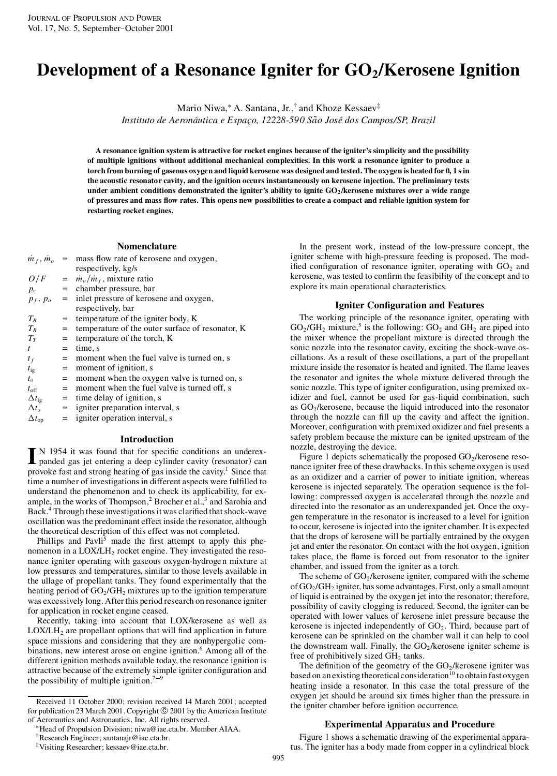# **Development of a Resonance Igniter for GO2/Kerosene Ignition**

Mario Niwa,¤ A. Santana, Jr.,† and Khoze Kessaev ‡

*Instituto de Aeronautic ´ a e Espac¸o, 12228-590 Sao*Q *Jos´e dos Campos/SP, Brazil*

A resonance ignition system is attractive for rocket engines because of the igniter's simplicity and the possibility **of multiple ignitions without additional mechanical complexities. In this work a resonance igniter to produce a** torch from burning of gaseous oxygen and liquid kerosene was designed and tested. The oxygen is heated for 0, 1 s in **the acoustic resonator cavity, and the ignition occurs instantaneously on kerosene injection. The preliminary tests** under ambient conditions demonstrated the igniter's ability to ignite  $GO<sub>2</sub>/kerosene$  mixtures over a wide range of pressures and mass flow rates. This opens new possibilities to create a compact and reliable ignition system for **restarting rocket engines.**

## **Nomenclature**

| $m_f, m_o$          |     | $=$ mass flow rate of kerosene and oxygen,       |
|---------------------|-----|--------------------------------------------------|
|                     |     | respectively, kg/s                               |
| O/F                 |     | $=$ $\dot{m}_o / \dot{m}_f$ , mixture ratio      |
| $p_c$               |     | $=$ chamber pressure, bar                        |
| $p_f, p_o$          | $=$ | inlet pressure of kerosene and oxygen,           |
|                     |     | respectively, bar                                |
| $T_R$               | $=$ | temperature of the igniter body, K               |
| $T_R$               | $=$ | temperature of the outer surface of resonator, K |
| $T_T$               | $=$ | temperature of the torch, K                      |
| t                   | $=$ | time, s                                          |
| $t_f$               | $=$ | moment when the fuel valve is turned on, s       |
| $t_{\rm ig}$        | $=$ | moment of ignition, s                            |
| $t_{o}$             | $=$ | moment when the oxygen valve is turned on, s     |
| $t_{\rm off}$       | $=$ | moment when the fuel valve is turned off, s      |
| $\Delta t_{\rm ig}$ | $=$ | time delay of ignition, s                        |
| $\Delta t_o$        |     | $=$ igniter preparation interval, s              |
| $\Delta t_{op}$     | $=$ | igniter operation interval, s                    |

## **Introduction**

IN 1954 it was found that for specific conditions an underex-<br>panded gas jet entering a deep cylinder cavity (resonator) can N 1954 it was found that for specific conditions an underexprovoke fast and strong heating of gas inside the cavity.<sup>1</sup> Since that time a number of investigations in different aspects were fulfilled to understand the phenomenon and to check its applicability, for ex ample, in the works of Thompson, $<sup>2</sup>$  Brocher et al., $<sup>3</sup>$  and Sarohia and</sup></sup> Back.<sup>4</sup> Through these investigations it was clarified that shock-wave oscillation wasthe predominant effect inside the resonator, although the theoretical description of this effect was not completed.

Phillips and Pavli<sup>5</sup> made the first attempt to apply this phenomenon in a LOX/LH<sub>2</sub> rocket engine. They investigated the resonance igniter operating with gaseous oxygen-hydroge n mixture at low pressures and temperatures, similar to those levels available in the ullage of propellant tanks. They found experimentally that the heating period of  $GO_2/GH_2$  mixtures up to the ignition temperature was excessively long. Afterthis period research on resonance igniter for application in rocket engine ceased.

Recently, taking into account that LOX/kerosene as well as  $LOX/LH<sub>2</sub>$  are propellant options that will find application in future space missions and considering that they are nonhypergolic com binations, new interest arose on engine ignition.<sup>6</sup> Among all of the different ignition methods available today, the resonance ignition is attractive because of the extremely simple igniter configuration and the possibility of multiple ignition.<sup>7-9</sup>

Received 11 October 2000; revision received 14 March 2001; accepted for publication 23 March 2001. Copyright © 2001 by the American Institute of Aeronautics and Astronautics, Inc. All rights reserved.

In the present work, instead of the low-pressure concept, the igniter scheme with high-pressure feeding is proposed. The modified configuration of resonance igniter, operating with  $GO<sub>2</sub>$  and kerosene, was tested to confirm the feasibility of the concept and to explore its main operational characteristics.

#### **Igniter Con guration and Features**

The working principle of the resonance igniter, operating with  $GO_2/GH_2$  mixture,<sup>5</sup> is the following:  $GO_2$  and  $GH_2$  are piped into the mixer whence the propellant mixture is directed through the sonic nozzle into the resonator cavity, exciting the shock-wave os cillations. As a result of these oscillations, a part of the propellant mixture inside the resonator is heated and ignited. The flame leaves the resonator and ignites the whole mixture delivered through the sonic nozzle. This type of igniter configuration, using premixed oxidizer and fuel, cannot be used for gas-liquid combination, such as  $GO<sub>2</sub>/kerosene$ , because the liquid introduced into the resonator through the nozzle can fill up the cavity and affect the ignition. Moreover, configuration with premixed oxidizer and fuel presents a safety problem because the mixture can be ignited upstream of the nozzle, destroying the device.

Figure 1 depicts schematically the proposed  $GO<sub>2</sub>/kerosene$  resonance igniter free of these drawbacks. In this scheme oxygen is used as an oxidizer and a carrier of power to initiate ignition, whereas kerosene is injected separately. The operation sequence is the following: compressed oxygen is accelerated through the nozzle and directed into the resonator as an underexpanded jet. Once the oxy gen temperature in the resonator is increased to a level for ignition to occur, kerosene is injected into the igniter chamber. It is expected that the drops of kerosene will be partially entrained by the oxygen jet and enter the resonator. On contact with the hot oxygen, ignition takes place, the flame is forced out from resonator to the igniter chamber, and issued from the igniter as a torch.

The scheme of  $GO_2$ /kerosene igniter, compared with the scheme of  $GO_2/GH_2$  igniter, has some advantages. First, only a small amount of liquid is entrained by the oxygen jet into the resonator; therefore, possibility of cavity clogging is reduced. Second, the igniter can be operated with lower values of kerosene inlet pressure because the kerosene is injected independently of  $GO<sub>2</sub>$ . Third, because part of kerosene can be sprinkled on the chamber wall it can help to cool the downstream wall. Finally, the  $GO_2$ /kerosene igniter scheme is free of prohibitively sized  $GH<sub>2</sub>$  tanks.

The definition of the geometry of the  $GO<sub>2</sub>/kerosene$  igniter was based on an existing theoretical consideration<sup>10</sup> to obtain fast oxygen heating inside a resonator. In this case the total pressure of the oxygen jet should be around six times higher than the pressure in the igniter chamber before ignition occurrence.

## **Experimental Apparatus and Procedure**

Figure 1 shows a schematic drawing of the experimental apparatus. The igniter has a body made from copper in a cylindrical block

<sup>¤</sup>Head of Propulsion Division; niwa@iae.cta.br. Member AIAA. †Research Engineer; santanajr@iae.cta.br. ‡Visiting Researcher; kessaev@iae.cta.br.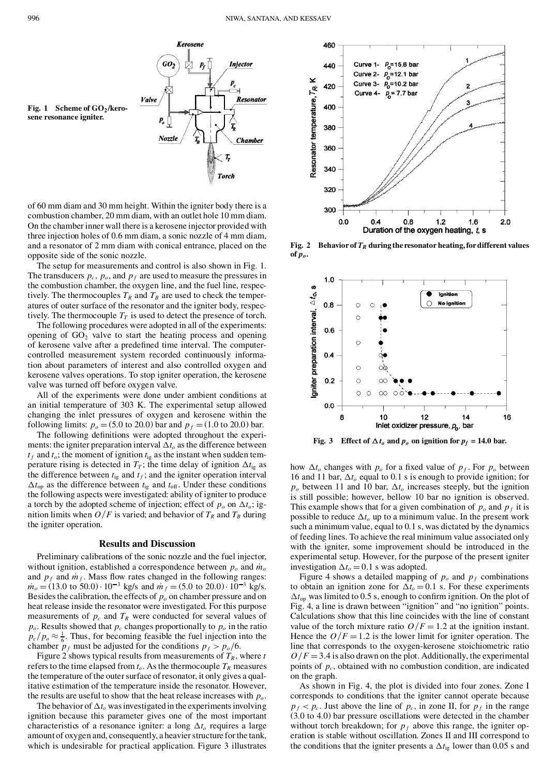Injector

**Resonator** 

**Chamber** 

 $\stackrel{p_c}{\longrightarrow}$ 

T,

**Torch** 

**Fig. 1 Scheme of GO2/kero sene resonance igniter.**

of 60 mm diam and 30 mm height. Within the igniter body there is a combustion chamber, 20 mm diam, with an outlet hole 10 mm diam. On the chamber inner wall there is a kerosene injector provided with three injection holes of 0.6 mm diam, a sonic nozzle of 4 mm diam, and a resonator of 2 mm diam with conical entrance, placed on the opposite side of the sonic nozzle.

Kerosene

 $P_{I}$ 

 $GO<sub>2</sub>$ 

 $\it Value$ 

 $P_o$ 

Nozzle

The setup for measurements and control is also shown in Fig. 1. The transducers  $p_c$ ,  $p_o$ , and  $p_f$  are used to measure the pressures in the combustion chamber, the oxygen line, and the fuel line, respectively. The thermocouples  $T_R$  and  $T_B$  are used to check the temperatures of outer surface of the resonator and the igniter body, respectively. The thermocouple  $T_T$  is used to detect the presence of torch.

The following procedures were adopted in all of the experiments: opening of  $GO_2$  valve to start the heating process and opening of kerosene valve after a predefined time interval. The computercontrolled measurement system recorded continuously information about parameters of interest and also controlled oxygen and kerosene valves operations. To stop igniter operation, the kerosene valve was turned off before oxygen valve.

All of the experiments were done under ambient conditions at an initial temperature of 303 K. The experimental setup allowed changing the inlet pressures of oxygen and kerosene within the following limits:  $p_0 = (5.0 \text{ to } 20.0)$  bar and  $p_f = (1.0 \text{ to } 20.0)$  bar.

The following definitions were adopted throughout the experiments: the igniter preparation interval  $\Delta t_o$  as the difference between  $t_f$  and  $t_o$ ; the moment of ignition  $t_{ig}$  as the instant when sudden temperature rising is detected in  $T_T$ ; the time delay of ignition  $\Delta t_{ig}$  as the difference between  $t_{ig}$  and  $t_f$ ; and the igniter operation interval  $\Delta t_{op}$  as the difference between  $t_{ig}$  and  $t_{off}$ . Under these conditions the following aspects were investigated: ability of igniter to produce a torch by the adopted scheme of injection; effect of  $p_o$  on  $\Delta t_o$ ; ignition limits when  $O/F$  is varied; and behavior of  $T_R$  and  $T_B$  during the igniter operation.

#### **Results and Discussion**

Preliminary calibrations of the sonic nozzle and the fuel injector, without ignition, established a correspondence between  $p_o$  and  $\dot{m}_o$  and  $p_f$  and  $\dot{m}_f$ . Mass flow rates changed in the following ranges:<br> $\dot{m}_o = (13.0 \text{ to } 50.0) \cdot 10^{-3}$  kg/s and  $\dot{m}_f = (5.0 \text{ to } 20.0) \cdot 10^{-3}$  Besides the calibration, the effects of  $p<sub>o</sub>$  on chamber pressure and on heat release inside the resonator were investigated. For this purpose measurements of  $p_c$  and  $T_R$  were conducted for several values of  $p_o$ . Results showed that  $p_c$  changes proportionally to  $p_o$  in the ratio  $p_c/p_o \approx \frac{1}{6}$ . Thus, for becoming feasible the fuel injection into the chamber  $p_f$  must be adjusted for the conditions  $p_f > p_o/6$ .

Figure 2 shows typical results from measurements of  $T_R$ , where  $t$ refers to the time elapsed from  $t_o$ . As the thermocouple  $T_R$  measures the temperature of the outer surface of resonator, it only gives a qualitative estimation of the temperature inside the resonator. However, the results are useful to show that the heat release increases with *po*.

The behavior of  $\Delta t$ <sub>o</sub> was investigated in the experiments involving ignition because this parameter gives one of the most important characteristics of a resonance igniter: a long  $\Delta t_o$  requires a large amount of oxygen and, consequently, a heavier structure for the tank, which is undesirable for practical application. Figure 3 illustrates

**Fig.** 2 **Behavior of**  $T_R$  **during the resonator heating, for different values of** *po***.**

No iar

 $1.0$  $\boldsymbol{a}$  $\triangle t$ o, ŝ

 $0.8$ 

 $0.6$ 

 $0.4$ 

 $0.2$ 

gniter preparation interval,

 $\circ$ 

 $\circ$ 

 $\Omega$ 

 $\circ$ 

ö

Ċ Ó  $\infty$ 



investigation  $\Delta t_o = 0.1$  s was adopted.<br>Figure 4 shows a detailed mapping of  $p_o$  and  $p_f$  combinations to obtain an ignition zone for  $\Delta t_o = 0.1$  s. For these experiments  $\Delta t_{oo}$  was limited to 0.5 s, enough to confirm ignition. On the plot of Fig. 4, a line is drawn between "ignition" and "no ignition" points. Calculations show that this line coincides with the line of constant value of the torch mixture ratio  $O/F = 1.2$  at the ignition instant. Hence the  $O/F = 1.2$  is the lower limit for igniter operation. The line that corresponds to the oxygen-kerosene stoichiometric ratio  $O/F = 3.4$  is also drawn on the plot. Additionally, the experimental points of  $p_c$ , obtained with no combustion condition, are indicated on the graph.

experimental setup. However, for the purpose of the present igniter

As shown in Fig. 4, the plot is divided into four zones. Zone I corresponds to conditions that the igniter cannot operate because  $p_f$  <  $p_c$ . Just above the line of  $p_c$ , in zone II, for  $p_f$  in the range (3.0 to 4.0) bar pressure oscillations were detected in the chamber without torch breakdown; for  $p_f$  above this range, the igniter operation is stable without oscillation. Zones II and III correspond to the conditions that the igniter presents a  $\Delta t_{ig}$  lower than 0.05 s and